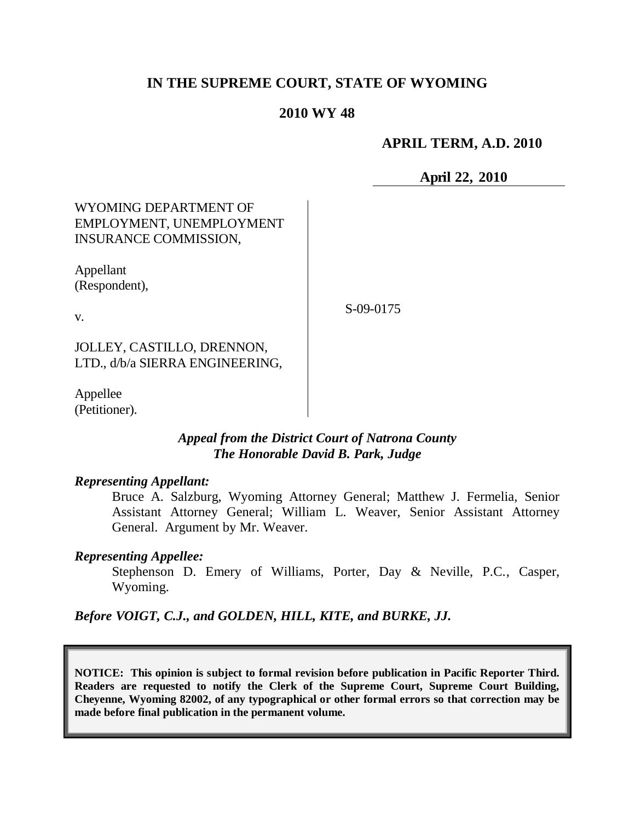# **IN THE SUPREME COURT, STATE OF WYOMING**

# **2010 WY 48**

## **APRIL TERM, A.D. 2010**

**April 22, 2010**

# WYOMING DEPARTMENT OF EMPLOYMENT, UNEMPLOYMENT INSURANCE COMMISSION,

Appellant (Respondent),

v.

S-09-0175

JOLLEY, CASTILLO, DRENNON, LTD., d/b/a SIERRA ENGINEERING,

Appellee (Petitioner).

# *Appeal from the District Court of Natrona County The Honorable David B. Park, Judge*

#### *Representing Appellant:*

Bruce A. Salzburg, Wyoming Attorney General; Matthew J. Fermelia, Senior Assistant Attorney General; William L. Weaver, Senior Assistant Attorney General. Argument by Mr. Weaver.

#### *Representing Appellee:*

Stephenson D. Emery of Williams, Porter, Day & Neville, P.C., Casper, Wyoming.

*Before VOIGT, C.J., and GOLDEN, HILL, KITE, and BURKE, JJ.*

**NOTICE: This opinion is subject to formal revision before publication in Pacific Reporter Third. Readers are requested to notify the Clerk of the Supreme Court, Supreme Court Building, Cheyenne, Wyoming 82002, of any typographical or other formal errors so that correction may be made before final publication in the permanent volume.**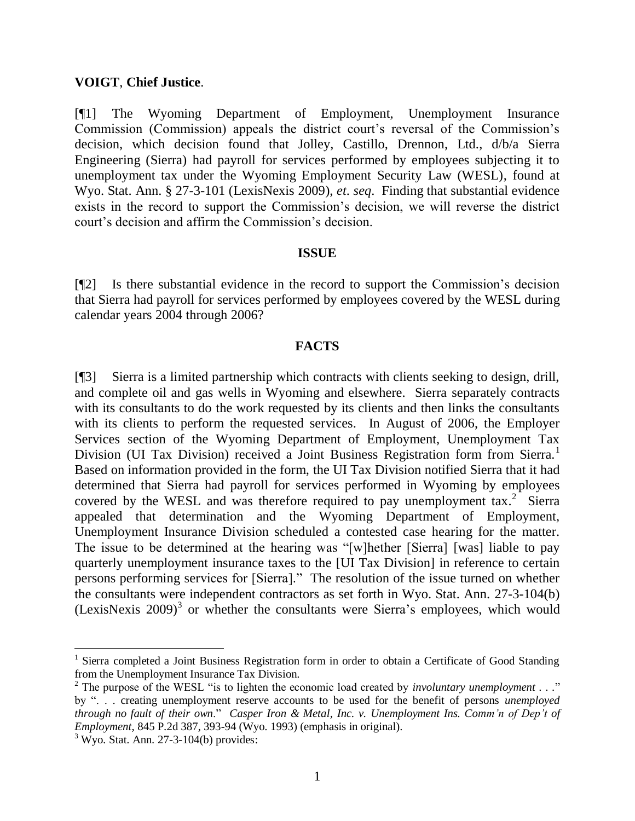#### **VOIGT**, **Chief Justice**.

[¶1] The Wyoming Department of Employment, Unemployment Insurance Commission (Commission) appeals the district court's reversal of the Commission's decision, which decision found that Jolley, Castillo, Drennon, Ltd., d/b/a Sierra Engineering (Sierra) had payroll for services performed by employees subjecting it to unemployment tax under the Wyoming Employment Security Law (WESL), found at Wyo. Stat. Ann. § 27-3-101 (LexisNexis 2009), *et*. *seq*. Finding that substantial evidence exists in the record to support the Commission's decision, we will reverse the district court's decision and affirm the Commission's decision.

#### **ISSUE**

[¶2] Is there substantial evidence in the record to support the Commission's decision that Sierra had payroll for services performed by employees covered by the WESL during calendar years 2004 through 2006?

#### **FACTS**

[¶3] Sierra is a limited partnership which contracts with clients seeking to design, drill, and complete oil and gas wells in Wyoming and elsewhere. Sierra separately contracts with its consultants to do the work requested by its clients and then links the consultants with its clients to perform the requested services. In August of 2006, the Employer Services section of the Wyoming Department of Employment, Unemployment Tax Division (UI Tax Division) received a Joint Business Registration form from Sierra.<sup>1</sup> Based on information provided in the form, the UI Tax Division notified Sierra that it had determined that Sierra had payroll for services performed in Wyoming by employees covered by the WESL and was therefore required to pay unemployment  $\text{tax.}^2$  Sierra appealed that determination and the Wyoming Department of Employment, Unemployment Insurance Division scheduled a contested case hearing for the matter. The issue to be determined at the hearing was "[w]hether [Sierra] [was] liable to pay quarterly unemployment insurance taxes to the [UI Tax Division] in reference to certain persons performing services for [Sierra]." The resolution of the issue turned on whether the consultants were independent contractors as set forth in Wyo. Stat. Ann. 27-3-104(b) (LexisNexis  $2009$ )<sup>3</sup> or whether the consultants were Sierra's employees, which would

 $\overline{a}$ 

<sup>&</sup>lt;sup>1</sup> Sierra completed a Joint Business Registration form in order to obtain a Certificate of Good Standing from the Unemployment Insurance Tax Division.

<sup>2</sup> The purpose of the WESL "is to lighten the economic load created by *involuntary unemployment . . .*" by ". . . creating unemployment reserve accounts to be used for the benefit of persons *unemployed through no fault of their own*." *Casper Iron & Metal, Inc. v. Unemployment Ins. Comm'n of Dep't of Employment*, 845 P.2d 387, 393-94 (Wyo. 1993) (emphasis in original).

 $3$  Wyo. Stat. Ann. 27-3-104(b) provides: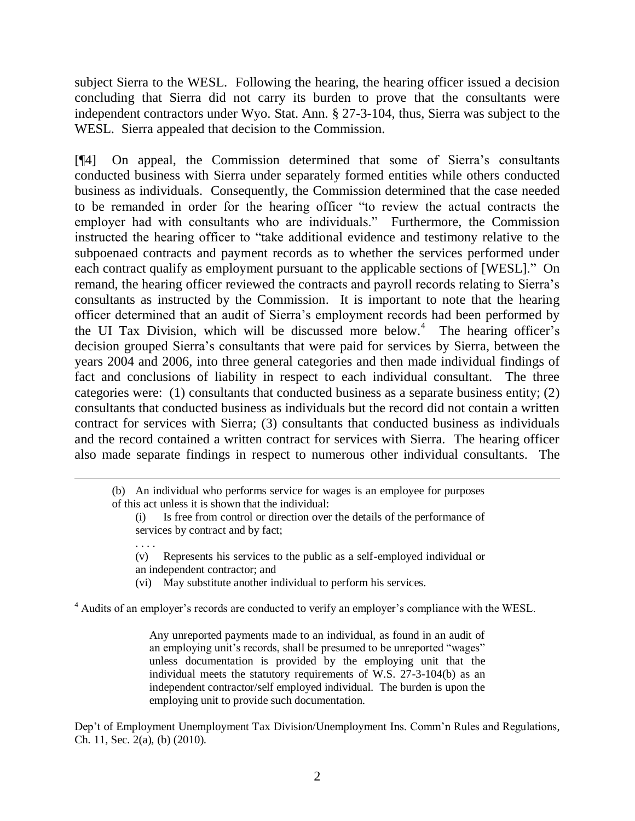subject Sierra to the WESL. Following the hearing, the hearing officer issued a decision concluding that Sierra did not carry its burden to prove that the consultants were independent contractors under Wyo. Stat. Ann. § 27-3-104, thus, Sierra was subject to the WESL. Sierra appealed that decision to the Commission.

[¶4] On appeal, the Commission determined that some of Sierra's consultants conducted business with Sierra under separately formed entities while others conducted business as individuals. Consequently, the Commission determined that the case needed to be remanded in order for the hearing officer "to review the actual contracts the employer had with consultants who are individuals." Furthermore, the Commission instructed the hearing officer to "take additional evidence and testimony relative to the subpoenaed contracts and payment records as to whether the services performed under each contract qualify as employment pursuant to the applicable sections of [WESL]." On remand, the hearing officer reviewed the contracts and payroll records relating to Sierra's consultants as instructed by the Commission. It is important to note that the hearing officer determined that an audit of Sierra's employment records had been performed by the UI Tax Division, which will be discussed more below. 4 The hearing officer's decision grouped Sierra's consultants that were paid for services by Sierra, between the years 2004 and 2006, into three general categories and then made individual findings of fact and conclusions of liability in respect to each individual consultant. The three categories were: (1) consultants that conducted business as a separate business entity; (2) consultants that conducted business as individuals but the record did not contain a written contract for services with Sierra; (3) consultants that conducted business as individuals and the record contained a written contract for services with Sierra. The hearing officer also made separate findings in respect to numerous other individual consultants. The

. . . .

- (v) Represents his services to the public as a self-employed individual or an independent contractor; and
- (vi) May substitute another individual to perform his services.

<sup>4</sup> Audits of an employer's records are conducted to verify an employer's compliance with the WESL.

Any unreported payments made to an individual, as found in an audit of an employing unit's records, shall be presumed to be unreported "wages" unless documentation is provided by the employing unit that the individual meets the statutory requirements of W.S. 27-3-104(b) as an independent contractor/self employed individual. The burden is upon the employing unit to provide such documentation.

Dep't of Employment Unemployment Tax Division/Unemployment Ins. Comm'n Rules and Regulations, Ch. 11, Sec. 2(a), (b) (2010).

<sup>(</sup>b) An individual who performs service for wages is an employee for purposes of this act unless it is shown that the individual:

<sup>(</sup>i) Is free from control or direction over the details of the performance of services by contract and by fact;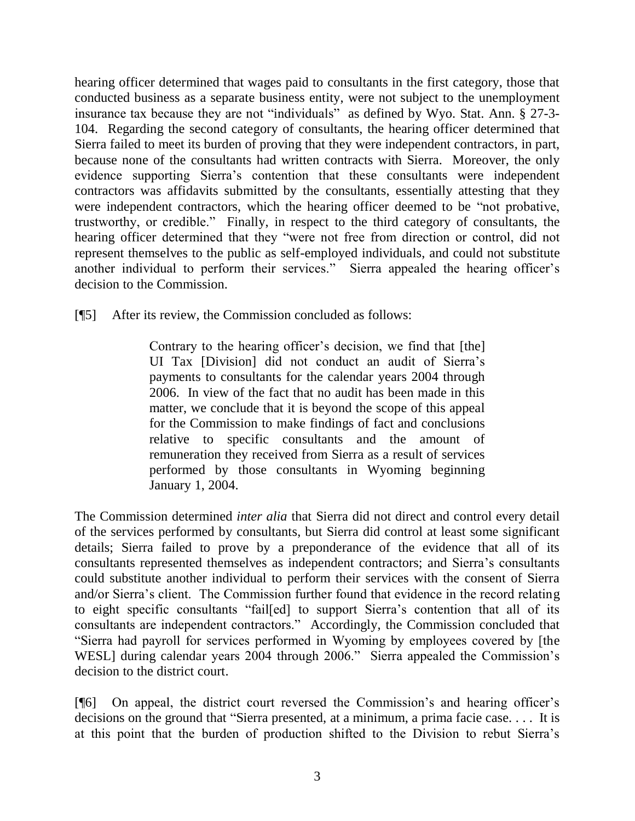hearing officer determined that wages paid to consultants in the first category, those that conducted business as a separate business entity, were not subject to the unemployment insurance tax because they are not "individuals" as defined by Wyo. Stat. Ann. § 27-3- 104. Regarding the second category of consultants, the hearing officer determined that Sierra failed to meet its burden of proving that they were independent contractors, in part, because none of the consultants had written contracts with Sierra. Moreover, the only evidence supporting Sierra's contention that these consultants were independent contractors was affidavits submitted by the consultants, essentially attesting that they were independent contractors, which the hearing officer deemed to be "not probative, trustworthy, or credible." Finally, in respect to the third category of consultants, the hearing officer determined that they "were not free from direction or control, did not represent themselves to the public as self-employed individuals, and could not substitute another individual to perform their services." Sierra appealed the hearing officer's decision to the Commission.

[¶5] After its review, the Commission concluded as follows:

Contrary to the hearing officer's decision, we find that [the] UI Tax [Division] did not conduct an audit of Sierra's payments to consultants for the calendar years 2004 through 2006. In view of the fact that no audit has been made in this matter, we conclude that it is beyond the scope of this appeal for the Commission to make findings of fact and conclusions relative to specific consultants and the amount of remuneration they received from Sierra as a result of services performed by those consultants in Wyoming beginning January 1, 2004.

The Commission determined *inter alia* that Sierra did not direct and control every detail of the services performed by consultants, but Sierra did control at least some significant details; Sierra failed to prove by a preponderance of the evidence that all of its consultants represented themselves as independent contractors; and Sierra's consultants could substitute another individual to perform their services with the consent of Sierra and/or Sierra's client. The Commission further found that evidence in the record relating to eight specific consultants "fail[ed] to support Sierra's contention that all of its consultants are independent contractors." Accordingly, the Commission concluded that "Sierra had payroll for services performed in Wyoming by employees covered by [the WESL] during calendar years 2004 through 2006." Sierra appealed the Commission's decision to the district court.

[¶6] On appeal, the district court reversed the Commission's and hearing officer's decisions on the ground that "Sierra presented, at a minimum, a prima facie case. . . . It is at this point that the burden of production shifted to the Division to rebut Sierra's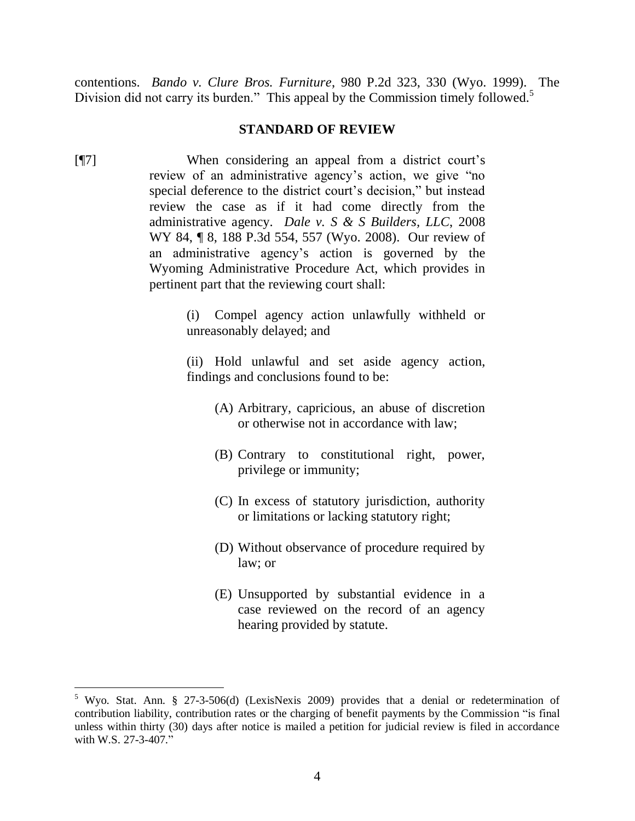contentions. *Bando v. Clure Bros. Furniture*, 980 P.2d 323, 330 (Wyo. 1999). The Division did not carry its burden." This appeal by the Commission timely followed.<sup>5</sup>

### **STANDARD OF REVIEW**

[¶7] When considering an appeal from a district court's review of an administrative agency's action, we give "no special deference to the district court's decision," but instead review the case as if it had come directly from the administrative agency. *Dale v. S & S Builders, LLC*, 2008 WY 84, ¶ 8, 188 P.3d 554, 557 (Wyo. 2008). Our review of an administrative agency's action is governed by the Wyoming Administrative Procedure Act, which provides in pertinent part that the reviewing court shall:

> (i) Compel agency action unlawfully withheld or unreasonably delayed; and

> (ii) Hold unlawful and set aside agency action, findings and conclusions found to be:

- (A) Arbitrary, capricious, an abuse of discretion or otherwise not in accordance with law;
- (B) Contrary to constitutional right, power, privilege or immunity;
- (C) In excess of statutory jurisdiction, authority or limitations or lacking statutory right;
- (D) Without observance of procedure required by law; or
- (E) Unsupported by substantial evidence in a case reviewed on the record of an agency hearing provided by statute.

 $\overline{a}$ 

<sup>5</sup> Wyo. Stat. Ann. § 27-3-506(d) (LexisNexis 2009) provides that a denial or redetermination of contribution liability, contribution rates or the charging of benefit payments by the Commission "is final unless within thirty (30) days after notice is mailed a petition for judicial review is filed in accordance with W.S. 27-3-407."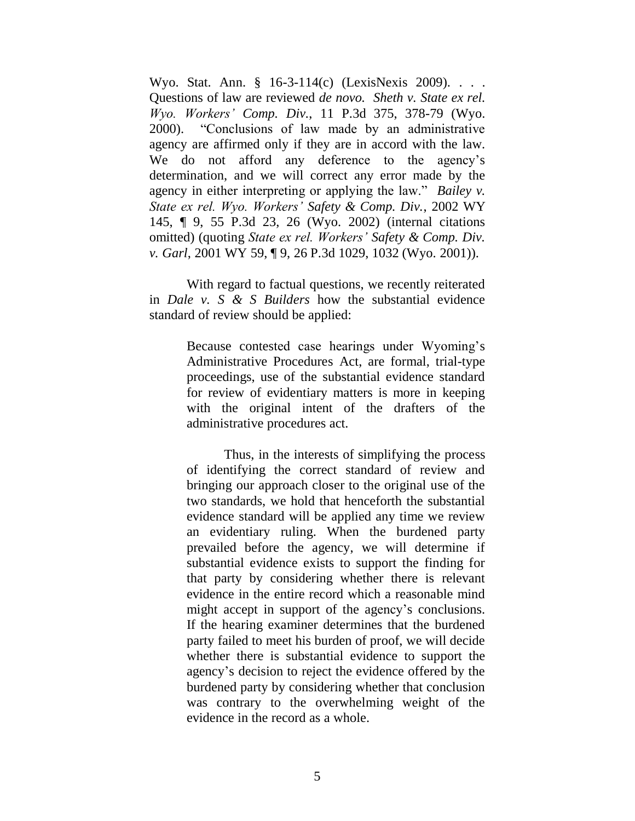Wyo. Stat. Ann. § 16-3-114(c) (LexisNexis 2009). . . . Questions of law are reviewed *de novo. Sheth v. State ex rel. Wyo. Workers' Comp. Div.*, 11 P.3d 375, 378-79 (Wyo. 2000). "Conclusions of law made by an administrative agency are affirmed only if they are in accord with the law. We do not afford any deference to the agency's determination, and we will correct any error made by the agency in either interpreting or applying the law." *Bailey v. State ex rel. Wyo. Workers' Safety & Comp. Div.*, 2002 WY 145, ¶ 9, 55 P.3d 23, 26 (Wyo. 2002) (internal citations omitted) (quoting *State ex rel. Workers' Safety & Comp. Div. v. Garl*, 2001 WY 59, ¶ 9, 26 P.3d 1029, 1032 (Wyo. 2001)).

With regard to factual questions, we recently reiterated in *Dale v. S & S Builders* how the substantial evidence standard of review should be applied:

> Because contested case hearings under Wyoming's Administrative Procedures Act, are formal, trial-type proceedings, use of the substantial evidence standard for review of evidentiary matters is more in keeping with the original intent of the drafters of the administrative procedures act.

> Thus, in the interests of simplifying the process of identifying the correct standard of review and bringing our approach closer to the original use of the two standards, we hold that henceforth the substantial evidence standard will be applied any time we review an evidentiary ruling. When the burdened party prevailed before the agency, we will determine if substantial evidence exists to support the finding for that party by considering whether there is relevant evidence in the entire record which a reasonable mind might accept in support of the agency's conclusions. If the hearing examiner determines that the burdened party failed to meet his burden of proof, we will decide whether there is substantial evidence to support the agency's decision to reject the evidence offered by the burdened party by considering whether that conclusion was contrary to the overwhelming weight of the evidence in the record as a whole.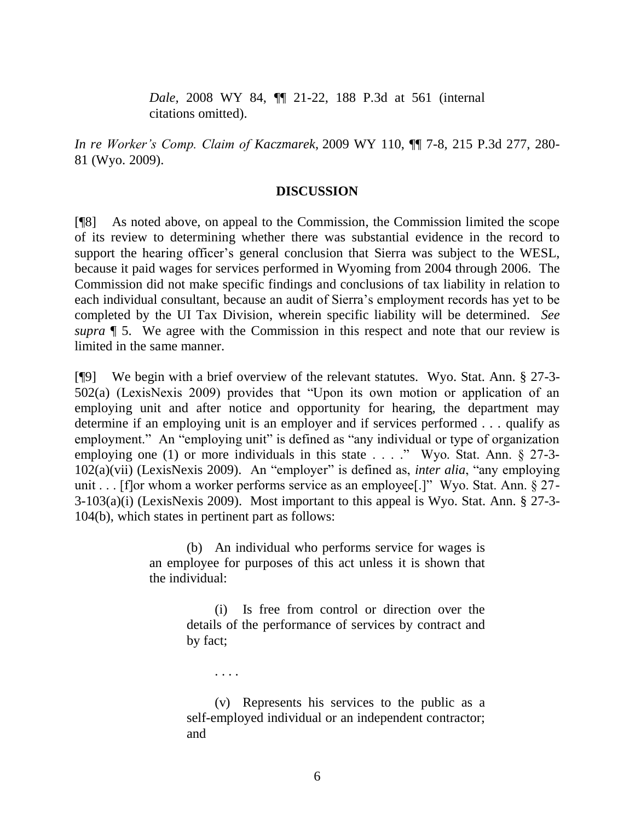*Dale,* 2008 WY 84, ¶¶ 21-22, 188 P.3d at 561 (internal citations omitted).

*In re Worker's Comp. Claim of Kaczmarek*, 2009 WY 110, ¶¶ 7-8, 215 P.3d 277, 280- 81 (Wyo. 2009).

### **DISCUSSION**

[¶8] As noted above, on appeal to the Commission, the Commission limited the scope of its review to determining whether there was substantial evidence in the record to support the hearing officer's general conclusion that Sierra was subject to the WESL, because it paid wages for services performed in Wyoming from 2004 through 2006. The Commission did not make specific findings and conclusions of tax liability in relation to each individual consultant, because an audit of Sierra's employment records has yet to be completed by the UI Tax Division, wherein specific liability will be determined. *See supra* ¶ 5. We agree with the Commission in this respect and note that our review is limited in the same manner.

[¶9] We begin with a brief overview of the relevant statutes. Wyo. Stat. Ann. § 27-3- 502(a) (LexisNexis 2009) provides that "Upon its own motion or application of an employing unit and after notice and opportunity for hearing, the department may determine if an employing unit is an employer and if services performed . . . qualify as employment." An "employing unit" is defined as "any individual or type of organization employing one (1) or more individuals in this state . . . ." Wyo. Stat. Ann. § 27-3-102(a)(vii) (LexisNexis 2009). An "employer" is defined as, *inter alia*, "any employing unit . . . [f]or whom a worker performs service as an employee[.]" Wyo. Stat. Ann. § 27-3-103(a)(i) (LexisNexis 2009). Most important to this appeal is Wyo. Stat. Ann. § 27-3- 104(b), which states in pertinent part as follows:

> (b) An individual who performs service for wages is an employee for purposes of this act unless it is shown that the individual:

> > (i) Is free from control or direction over the details of the performance of services by contract and by fact;

> > (v) Represents his services to the public as a self-employed individual or an independent contractor; and

. . . .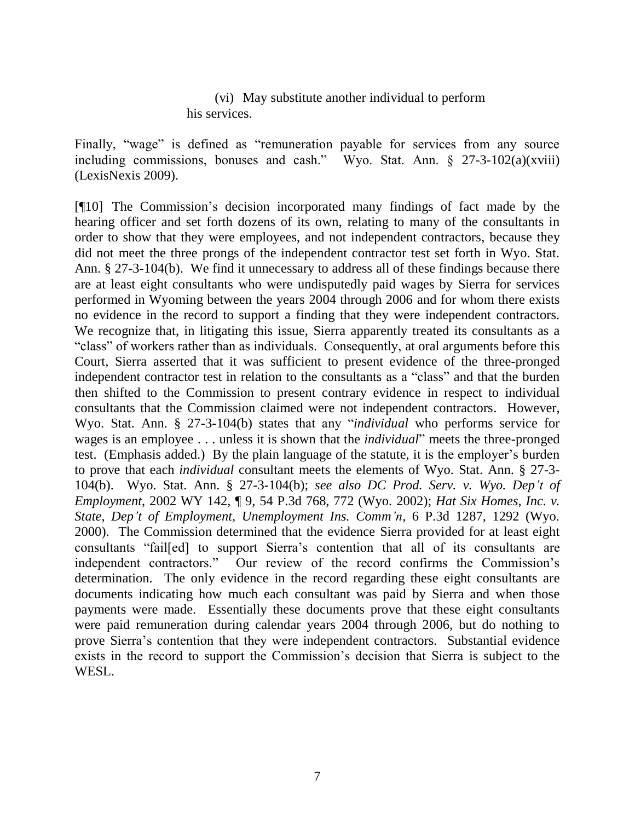(vi) May substitute another individual to perform his services.

Finally, "wage" is defined as "remuneration payable for services from any source including commissions, bonuses and cash." Wyo. Stat. Ann.  $\frac{1}{2}$  27-3-102(a)(xviii) (LexisNexis 2009).

[¶10] The Commission's decision incorporated many findings of fact made by the hearing officer and set forth dozens of its own, relating to many of the consultants in order to show that they were employees, and not independent contractors, because they did not meet the three prongs of the independent contractor test set forth in Wyo. Stat. Ann. § 27-3-104(b). We find it unnecessary to address all of these findings because there are at least eight consultants who were undisputedly paid wages by Sierra for services performed in Wyoming between the years 2004 through 2006 and for whom there exists no evidence in the record to support a finding that they were independent contractors. We recognize that, in litigating this issue, Sierra apparently treated its consultants as a "class" of workers rather than as individuals. Consequently, at oral arguments before this Court, Sierra asserted that it was sufficient to present evidence of the three-pronged independent contractor test in relation to the consultants as a "class" and that the burden then shifted to the Commission to present contrary evidence in respect to individual consultants that the Commission claimed were not independent contractors. However, Wyo. Stat. Ann. § 27-3-104(b) states that any "*individual* who performs service for wages is an employee . . . unless it is shown that the *individual*" meets the three-pronged test. (Emphasis added.) By the plain language of the statute, it is the employer's burden to prove that each *individual* consultant meets the elements of Wyo. Stat. Ann. § 27-3- 104(b). Wyo. Stat. Ann. § 27-3-104(b); *see also DC Prod. Serv. v. Wyo. Dep't of Employment*, 2002 WY 142, ¶ 9, 54 P.3d 768, 772 (Wyo. 2002); *Hat Six Homes, Inc. v. State, Dep't of Employment, Unemployment Ins. Comm'n*, 6 P.3d 1287, 1292 (Wyo. 2000). The Commission determined that the evidence Sierra provided for at least eight consultants "fail[ed] to support Sierra's contention that all of its consultants are independent contractors." Our review of the record confirms the Commission's determination. The only evidence in the record regarding these eight consultants are documents indicating how much each consultant was paid by Sierra and when those payments were made. Essentially these documents prove that these eight consultants were paid remuneration during calendar years 2004 through 2006, but do nothing to prove Sierra's contention that they were independent contractors. Substantial evidence exists in the record to support the Commission's decision that Sierra is subject to the WESL.